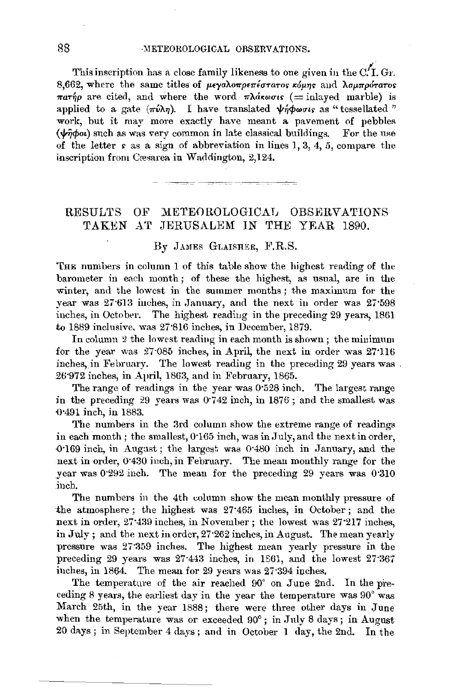This inscription has a close family likeness to one given in the *c!1.* Gr. 8,662, where the same titles of *µeya*λoπρεπέστατος κόμης and λαμπρότατος  $\pi a \tau \eta \rho$  are cited, and where the word  $\pi \lambda a \kappa \omega \sigma \iota s$ : (= inlayed marble) is applied to a gate  $(\pi \nu \lambda \eta)$ . I have translated  $\nu \gamma \phi \omega \sigma \nu s$  as "tessellated " work, but it may more exactly have meant a pavement of pebbles  $(\psi \hat{\eta} \phi o \iota)$  such as was very common in late classical buildings. For the use of the letter  $s$  as a sign of abbreviation in lines 1, 3, 4, 5, compare the inscription from Cæsarea in Waddington, 2,124. - -~ -\_-\_ ----- -~-~~--=~

#### RESULTS OF METEOROLOGICAL OBSERVATIONS TAKEN AT JERUSALEM IN THE YEAR 1890.

#### By JAMES GLAISHER, F.R.S.

THE numbers in column 1 of this table show the highest reading of the barometer in each month; of these the highest, as usual, are in the winter, and the lowest in the summer months ; the maximum for the year was 27.613 inches, in January, and the next in order was 27.598 inches, in October. The highest reading in the preceding 29 years, 1861 to 1889 inclusive, was 27'816 inches, in December, 1879.

In column 2 the lowest reading in each month is shown; the minimum for the year was  $27.085$  inches, in April, the next in order was  $27.116$ inches, in February. The lowest reading in the preceding 29 years was 26·972 inches, in April, 1863, and in February, 1865.

The range of readings in tbe year was 0·528 inch. The largest range in the preceding 29 years was  $0.742$  inch, in  $1876$ ; and the smallest was 0.491 inch, in 1883.

The numbers in the 3rd column show the extreme range of readings in each month ; the smallest, 0·165 inch, was in July, and the next in order, -0·169 inch, in Augast; the largest was 0·480 inch in January, and the next in order, 0·430 inch, in February. The mean monthly range for the year was 0.292 inch. The mean for the preceding 29 years was 0.310 inch.

The numbers in the 4th column show the mean monthly pressure of the atmosphere ; the highest was 27'465 inches, in October ; and the next in order, 27:439 inches, in November; the lowest was 27:217 inches, in July; and the next in order, 27·262 inches, in August. The mean yearly pressure was 27:359 inches. The highest mean yearly pressure in the preceding 29 years was 27·443 inches, in 1561, and the lowest 27·367 inches, in 1864. The mean for 29 years was 27·394 inches,

The temperature of the air reached  $90^{\circ}$  on June 2nd. In the preceding 8 years, the earliest day in the year the temperature was  $90^{\circ}$  was March 25th, in the year 1888; there were three other days in June when the temperature was or exceeded 90°; in July 8 days; in August  $20 \text{ days}$ ; in September 4 days; and in October 1 day, the 2nd. In the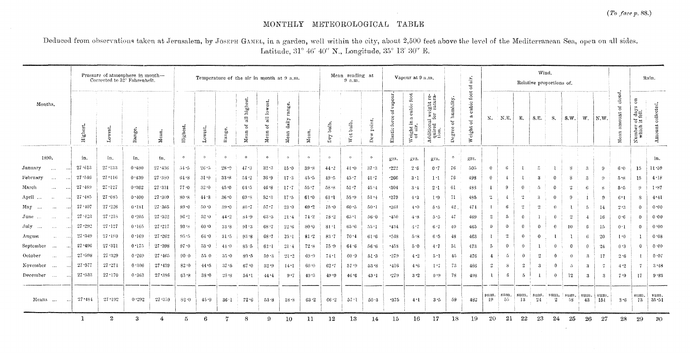$\sim$ 

# MONTHLY METEOROLOGICAL TABLE

Deduced from observations taken at Jerusalem, by JOSEPH GAMEL, in a garden, well within the city, about 2,500 feet above the level of the Mediterranean Sea, open on all sides. Latitude, 31° 46' 40" N., Longitude, 35° 13' 30" E.

|                                                               |                 | Pressure of atmosphere in month-<br>Corrected to 32° Fahrenheit. |        |            |          |          |          |                                 |                               | Temperature of the air in month at 9 a.m. |          |           | Mean reading at<br>9 a.m. |                                    | Vapour at 9 a.m.                                |                                                         |                                                      |                                                      | air.<br>$\mathfrak{S}$                                             |                      |                     |              | Wind.<br>Relative proportions of. |                  |                |                |                 |                                |                                                            | Rain.         |
|---------------------------------------------------------------|-----------------|------------------------------------------------------------------|--------|------------|----------|----------|----------|---------------------------------|-------------------------------|-------------------------------------------|----------|-----------|---------------------------|------------------------------------|-------------------------------------------------|---------------------------------------------------------|------------------------------------------------------|------------------------------------------------------|--------------------------------------------------------------------|----------------------|---------------------|--------------|-----------------------------------|------------------|----------------|----------------|-----------------|--------------------------------|------------------------------------------------------------|---------------|
| Months.                                                       | Highes          | Lowest.                                                          | Range. | Mean.      | Highes   | Lowest.  | Range.   | highest.<br>$\Xi$<br>οf<br>Mean | lowest.<br>$\Xi$<br>ð<br>Mean | rang<br>daily<br>${\bf Mean}$             | Mean.    | Dry bulb. | Wet bulb                  | point.<br>$\ddot{\mathbf{x}}$<br>Å | vapour,<br>$\rm \ddot{o}$<br>್ಲಿ<br>Elastic for | foot<br>cubic<br>$\pi$<br>$\Xi$<br>Weight ir<br>of air. | Additional weight re-<br>quired for satura-<br>tion. | humidity.<br>$\mathfrak{b}^{\mathfrak{c}}$<br>Degree | $_{\rm foot}$<br>cubic<br>ದ<br>$\tilde{\sigma}$<br>oight<br>$\geq$ | N.                   | N.E.                | Е.           | S.E.                              | <b>S.</b>        | S.W.           |                | W. N.W.         | cloud.<br>ិ៍<br>amount<br>Mean | $\tilde{z}$<br>$\frac{days}{101}$<br>5도<br>Number<br>which | collected.    |
| 1890.                                                         | in.             | in.                                                              | in.    | in.        | $\circ$  | $\circ$  | $\circ$  | $\circ$                         | $\circ$                       | $\circ$                                   | $\circ$  | $\circ$   | $\circ$                   | $\bullet$                          | grs.                                            | grs.                                                    | grs.                                                 | $\circ$                                              | grs.                                                               |                      |                     |              |                                   |                  |                |                |                 |                                |                                                            | in.           |
| January<br>$\cdots$<br>$\cdots$                               | 27.613          | 27.133                                                           | 0.480  | 27:436     | 51.5     | 26.5     | 28.9     | 47.3                            | $32 - 3$                      | 15.0                                      | $39 - 8$ | 44.2      | 41.0                      | $-37.3$                            | .222                                            | 2.6                                                     | 0.7                                                  | 76                                                   | 505                                                                | $\Omega$             |                     |              |                                   |                  | R              | -3             | 9               | 6.0                            | -15                                                        | 11:59         |
| February<br>$\sim$ $\sim$ $\sim$<br>$\cdots$                  | 27.546          | $27 - 116$                                                       | 0.430  | 27 380     | 61.8     | 31.0     | 33.8     | $-54.2$                         | 36.9                          | 17.3                                      | 45.5     | $49.5$    | 45.7                      | $-41.7$                            | .266                                            | $3 \cdot 1$                                             | 1 <sup>1</sup>                                       | 76                                                   | 498                                                                | $\Omega$             |                     |              | -3                                | $\Omega$         | -8             | -3             | $9 -$           | 5.8                            | 15                                                         | 4.18          |
| March<br>$\cdots$<br>$\cdots$                                 | 27.489          | 27.127                                                           | 0.362  | 27.331     | 77.0     | 32.0     | 45.0     | 64.5                            | 46.8                          | 17.7                                      | 55.7     | 58.8      | $51 - 7$                  | 45.4                               | $-304$                                          | 3.1                                                     | $2 - 1$                                              | -61                                                  | 488                                                                |                      | 9                   | $\bf{0}$     | $\tilde{D}$                       | $\Omega$         |                | -6             | $8^{\circ}$     | 5.5                            | -9                                                         | 1.87          |
| April<br>$\sim$<br>$\cdots$                                   | 27.485          | $27 - 085$                                                       | 0.400  | 27:309     | 80.8     | 44.8     | 36.0     | 69.8                            | 52.3                          | $17 - 5$                                  | 61.0     | 61.1      | $55 - 9$                  | $51 - 4$                           | .379                                            | 4.3                                                     | 1.9                                                  | 71                                                   | 485                                                                | $^{2}$               |                     | $\cdot$ 2    | -3                                | $\Omega$         | -9             |                | $^{9}$          | 6·1                            | -8                                                         | $4 - 41$      |
| May<br>$\cdots$<br>$\cdots$                                   | $27 - 407$      | $27 - 226$                                                       | 0.181  | 27.365     | 89.0     | 50.0     | $39 - 0$ | 80.7                            | 57.7                          | $23 - 0$                                  | 69.2     | 75.0      | $60 - 5$                  | $-50 - 1$                          | $-361$                                          | 4.0                                                     | 5 5                                                  | 42                                                   | 474                                                                |                      | 6                   | $^{2}$       | -2                                | $\theta$         |                | -5             | 14              | 2.3                            | $\mathbf{0}$                                               | 0.00          |
| June<br>$\sim 100$<br>$\sim$ $\sim$                           | 27.423          | $27 - 218$                                                       | 0.205  | $27 - 322$ | 96.2     | 52.0     | 44.2     | 84.9                            | 63.5                          | $21 - 4$                                  | 74.2     | $78 - 2$  | $65 - 1$                  | $56-0$                             | $+450$                                          | $-4 - 8$                                                | 5.5                                                  | 47                                                   | 469                                                                | -2                   | $\ddot{\mathbf{a}}$ | $\Omega$     |                                   | $\theta$         | $\overline{2}$ | $\overline{4}$ | 16              | 0.6                            | $\Omega$                                                   | 0.00          |
| July<br>$\mathbf{z}$ and $\mathbf{z}$<br>$\cdots$<br>$\cdots$ | $27 - 292$      | $27 - 127$                                                       | 0.165  | $27 - 217$ | 93.8     | 60.0     | 33.8     | 91.3                            | 68.7                          | $22 - 6$                                  | 80.0     | 81:1      | 65.6                      | $-55 - 1$                          | -434                                            | $-1.7$                                                  | 6.7                                                  | -40                                                  | 465                                                                | $\Omega$             | $\Omega$            | $\Omega$     | $\Omega$                          | $\theta$         | 10             | -6             | 15              | 0.1                            | $\Omega$                                                   | 0.00          |
| August<br>$\sim$<br>$\cdots$                                  | $27 - 349$      | 27.180                                                           | 0.169  | 27.262     | $95 - 5$ | 64.0     | $31 - 5$ | 93.8                            | $68 - 7$                      | 25.1                                      | $81 - 2$ | $83 - 7$  | 70.4                      | 61.6                               | .548                                            | -5-8                                                    | 6.5                                                  | 48                                                   | 463                                                                |                      | $\mathbf{c}$        | $\theta$     | $\Omega$                          |                  |                | -6             | 20              | 1.0                            |                                                            | 0.08          |
| September<br>$\sim$ - $\sim$<br>$\cdots$                      | 27-496          | 27 321                                                           | 0.175  | 27.398     | 97.0     | $53 - 0$ | 41.0     | 83.5                            | $62 \cdot 1$                  | 21.4                                      | 72.8     | 75.9      | 64.6                      | 56.6                               | $-453$                                          | 5.0                                                     | 4.7                                                  | 51                                                   | 473                                                                | $\tilde{\mathbf{p}}$ | $\mathbf{0}$        | $\mathbf{r}$ |                                   | $\theta$         | $\Omega$       | $\theta$       | 24              | 0.3                            | $\mathbf{0}$                                               | 0.00          |
| October<br>$\sim$ $\sim$ $\sim$<br>$\cdots$                   | 27.998          | 27 329                                                           | 0.269  | $27 - 465$ | 90.0     | 550      | $35 - 0$ | 80.5                            | 59.3                          | $-21 - 2$                                 | 69.9     | 74.1      | 60.9                      | $51-3$                             | $-379$                                          | 4.2                                                     | $5 - 1$                                              | 45                                                   | 476                                                                | $\frac{4}{3}$        | Ő.                  |              | 2                                 | $\mathbf{0}$     | $\Omega$       | $\mathcal{B}$  | 17 <sub>1</sub> | 2.6                            |                                                            | 0.07          |
| November<br>$\cdots$<br>$\cdots$                              | 27.577          | $27 - 271$                                                       | 0.306  | 27.439     | 82.0     | 44.5     | 37.5     | $67 - 0$                        | $52 - 9$                      | 14.1                                      | 60.0     | $62 - 7$  | $57 - 9$                  | 53.8                               | $\cdot$ 416                                     | 4.6                                                     | 1.7                                                  | 73                                                   | 486                                                                | -2                   | 8                   | $\mathbf{2}$ | 3                                 | $\mathbf{0}$     | ÷5.            | -3             | $\tau$          | 4.2                            | -7                                                         | 3.48          |
| December<br>$\sim$ 4.4 $\sim$                                 | 27:533          | 27:170                                                           | 0.363  | 27.386     | $63 - 8$ | $38 - 0$ | 25.8     | $54-1$                          | 44.4                          | 9.7                                       | 49.3     | $49 - 9$  | 46 <sub>6</sub>           | 43:1                               | $+279$                                          | 3.2                                                     | 0.9                                                  | 78                                                   | 498                                                                | -1                   | 6                   | $\tilde{D}$  |                                   | $\theta$         | $12\,$         | -3             | 3               | 7.9                            | 17 <sub>1</sub>                                            | 9.33          |
| Means                                                         | 27.484<br>المعا | 27.192                                                           | 0.292  | 27.359     | $82 - 0$ | 45.9     | 36·1     | 72.6                            | 53.8                          | 18.8                                      | 632      | 66.2      | 57.1                      | 50.3                               | $-375$                                          | $4 - 1$                                                 | 3.5                                                  | 59                                                   | 482                                                                | sum.<br>-19          | sum.<br>55          | 13           | $sum.$ sum. $sum.$ sum.<br>24     | $\boldsymbol{2}$ | 58             | sum.<br>43     | sum.<br>151     | 3.6                            | sum.<br>73                                                 | sum.<br>35:51 |
|                                                               | -1              | $\boldsymbol{2}$                                                 | 3      | 4          | -5       | 6        |          | 8                               | $\Omega$                      | 10                                        | 11       | $12 \,$   | 13                        | 14                                 | $15\,$                                          | 16                                                      | 17                                                   | 18                                                   | 19                                                                 | -20                  | 21                  | 22           | 23                                | 24               | 25             | 26             | 27              | 28                             | 29                                                         | 30            |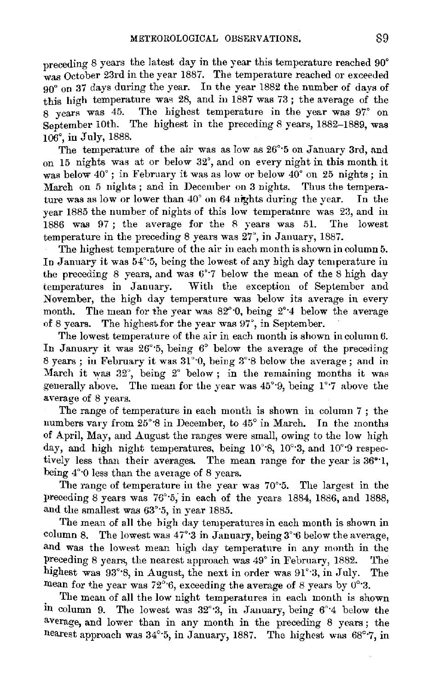preceding 8 years the latest day in the year this temperature reached 90° was October 23rd in the year 1887. The temperature reached or exceeded 90° on 37 days during the year. In the year 1882 the number of days of this high temperature was  $28$ , and in 1887 was 73; the average of the 8 years was 45. The highest temperature in the year was 97° on September 10th. The highest in the preceding 8 years, 1882-1889, was 106°, in July, 1888.

The temperature of the air was as low as 26°·5 on January 3rd, nnd on 15 nights was at or below 32°, and on every night in this month it was below  $40^{\circ}$ : in February it was as low or below  $40^{\circ}$  on 25 nights; in March on 5 nights; and in December on 3 nights. Thus the tempera-<br>ture was as low or lower than  $40^{\circ}$  on  $64$  nights during the year. In the ture was as low or lower than  $40^{\circ}$  on 64 nights during the year. year 1885 the number of nights of this low temperature was 23, and in 1886 was 97; the average for the 8 years was 51. The lowest temperature in the preceding 8 years was 27", in January, 1887.

The highest temperature of the air in each month is shown in column 5. In January it was 54°·5, being the lowest of any high day temperature in the preceding 8 years, and was 6°·7 below the mean of the 8 high day temperatures in January. With the exception of September and November, the high day temperature was below its average in every month. The mean for the year was  $82^{\circ}$ 0, being  $2^{\circ}$ 4 below the average of 8 years. The highest for the year was  $97^\circ$ , in September.

The lowest temperature of the air in each month is shown in column 6. In January it was  $26^{\circ}$ :5, being  $6^{\circ}$  below the average of the preceding 8 years ; in February it was  $31^{\circ}$ ; 0, being  $3^{\circ}$ ; 8 below the average ; and in March it was  $32^\circ$ , being  $2^\circ$  below; in the remaining months it was generally above. The mean for the year was  $45^{\circ}$ 9, being  $1^{\circ}$ 7 above the average of 8 years.

The range of temperature in each month is shown in column 7 ; the numbers vary from 25°·8 in December, to 45° in March. In the months of April, May, and August the ranges were small, owing to the low high day, and high night temperatures, being 10°8, 10°3, and 10°9 respectively less than their averages. The mean range for the year is 36°·1, being 4°<sup>-0</sup> less than the average of 8 years.

The range of temperature in the year was 70°·5. The largest in the preceding 8 years was 76°·5; in each of the years 1884, 1886, and 1888, and the smallest was 63'·5, in year 1885.

The mean of all the high day temperatures in each month is shown in column 8. The lowest was  $47^{\circ}$  3 in January, being  $3^{\circ}$  6 below the average, and was the lowest mean high day temperature in any month in the preceding 8 years, the nearest approach was 49° in February, 1882. The highest was 93°8, in August, the next in order was 91°3, in July. The mean for the year was 72<sup>°</sup> $\cdot$ 6, exceeding the average of 8 years by 0°<sup>°</sup>3.

The mean of all the low night temperatures in each month is shown in column 9. The lowest was  $32^{\circ}$ :3, in January, being  $6^{\circ}$ :4 below the average, and lower than in any month in the preceding 8 years; the nearest approach was 34°·5, in January, 1887. The highest was 68°·7, in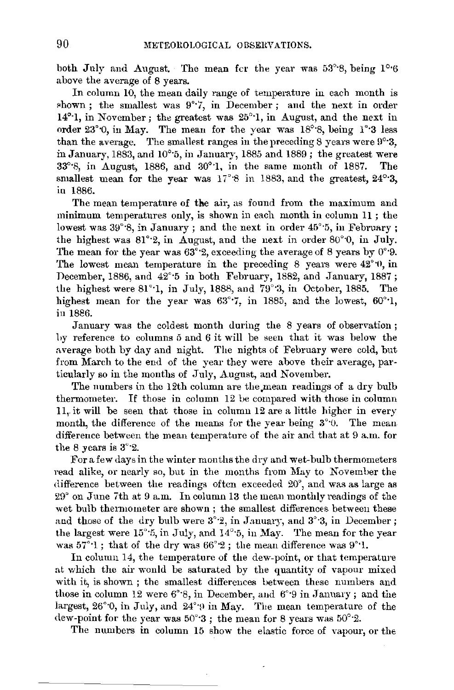both July and August. The mean fer the year was 53°·8, being 1°·6 above the average of 8 years.

In column 10, the mean daily range of temperature in each month is shown; the smallest was  $9°$ . in December; and the next in order 14°·1, in November; the greatest was 25°·1, in August, and the next in order 23°·0, in May. The mean for the year was 18°·8, being 1°·3 less than the average. The smallest ranges in the preceding 8 years were 9°·3, in January, 1883, and 10°·5, in January, 1885 and 1889; the greatest were 33°·8, in August, 1886, and 30°·1, in the same month of 1887. The smallest mean for the year was 17°8 in 1883, and the greatest, 24°<sup>3</sup>. in 1886.

The mean temperature of the air, as found from the maximum and minimum temperatures only, is shown in each month in column 11 ; the lowest was  $39^{\circ}$ 8, in January; and the next in order  $45^{\circ}$ 5, in February; the highest was 81°·2, in August, and the next in order 80°·0, in July. The mean for the year was  $63^{\circ}$ ? exceeding the average of 8 years by 0° $\cdot$ 9. The lowest mean temperature in the preceding 8 years were 42°·0, in December, 1886, and  $42^{\circ}$ -5 in both February, 1882, and January, 1887; the highest were 81<sup>°</sup>-1, in July, 1888, and 79<sup>°</sup>-3, in October, 1885. The highest mean for the year was 63°<sup>-7</sup>, in 1885, and the lowest, 60°<sup>-1</sup>, in 1886.

January was the coldest month during the 8 years of observation; 1,y reference to columns *5* and *6* it will be seen that it was below the average both by day and night. The nights of February were cold, but from March to the end of the year they were above their average, particularly so in the months of July, August, and November.

The numbers in the 12th column are the mean readings of a dry bulb thermometer. If those in column 12 be compared with those in column 11, it will be seen that those in column 12 are a little higher in every month, the difference of the means for the year being  $3^{\circ}$ . The mean difference between the mean temperature of the air and that at 9 a.m. for the 8 years is 3°·2.

For a few days in the winter months the dry and wet-bulb thermometers read alike, or nearly so, but in the months from May to November the difference between the readings often exceeded 20°, and was as large as 29° on June 7th at 9 a.m. In column 13 the mean monthly readings of the wet bulb thermometer are shown ; the smallest differences between these and those of the dry bulb were  $3°2$ , in January, and  $3°3$ , in December; the largest were  $15^{\circ}$ :5, in July, and  $14^{\circ}$ :5, in May. The mean for the year was  $57^{\circ}$ 1; that of the dry was  $66^{\circ}$ 2; the mean difference was  $9^{\circ}$ 1.

In column 14, the temperature of the dew-point, or that temperature at which the air would be saturated by the quantity of vapour mixed with it, is shown ; the smallest differences between these numbers and those in column 12 were  $6^{\circ}\cdot 8$ , in December, and  $6^{\circ}\cdot 9$  in January; and the largest,  $26^{\circ}$ 0, in July, and  $24^{\circ}$ 9 in May. The mean temperature of the dew-point for the year was  $50^{\circ}$ : the mean for 8 years was  $50^{\circ}$ : 2.

The numbers in column 15 show the elastic force of vapour, or the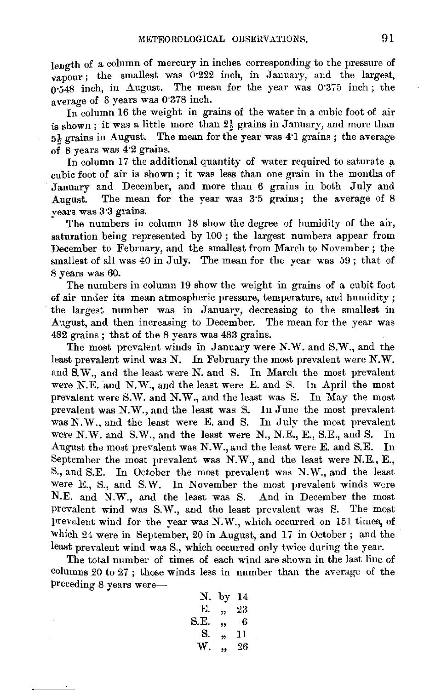length of a column of mercury in inches corresponding to the pressure of vapour; the smallest was 0.222 inch, in January, and the largest. o·548 inch, in Augnst. The mean for the year was 0•375 inch; the average of 8 years was 0-373 inch.

In column 16 the weight in grains of the water in a cubic foot of air is shown; it was a little more than  $2\frac{1}{2}$  grains in January, and more than 5<sup>1</sup>/<sub>5</sub> grains in August. The mean for the year was 4<sup>-1</sup> grains ; the average of 8 years was 4·2 grains.

In column 17 the additional quantity of water required to saturate a cubic foot of air is shown ; it was less than one grain in the months of January and December, and more than 6 grains in both July and The mean for the year was 3.5 grains; the average of 8 vears was 3·3 grains.

The numbers in column 18 show the degree of humidity of the air, saturation being represented by 100 ; the largest numbers appear from December to February, and the smallest from March to November; the smallest of all was 40 in July. The mean for the year was 59 ; that of 8 years was 60.

The numbers in column 19 show the weight in grains of a cubit foot of air under its mean atmospheric pressure, temperature, and humidity ; the largest number was in January, decreasing to the smallest in August, and then increasing to December. The mean for the year was 482 grains ; that of the 8 years was 483 grains.

The most prevalent winds in January were N.W. and S.W., and the least prevalent wind was N. In February the most prevalent were  $N.W.$ and S.W., and the least were N. and S. In Mardi the most prevalent were N.E. and N.W., and the least were E. and S. In April the most prevalent were S.W. and N.W., and the least was S. In May the most prevalent was N.W., and the least was S. In June the most prevalent was N.W., and the least were E. and S. In July the most prevalent were N.W. and S.W., and the least were N., N.E., E., S.E., and S. In August the most prevalent was N.W., and the least were E. and S.E. In September the most prevalent was N.W., and the least were N.E., E., S., and S.E. In October the most prevalent was N.W., and the least were E., S., and S.W. In November the most prevalent winds were N.E. and N.W., and the least was S. And in December the most prevalent wind was S.W., and the least prevalent was S. The most prevalent wind for the year was N.W., which occurred on 151 times, of which 24 were in September, 20 in August, and 17 in October ; and the least prevalent wind was S., which occurred only twice during the year.

The total number of times of each wind are shown in the last line of columns 20 to 27 ; those winds less in number than the average of the preceding 8 years were-

| Ν.   | by 14          |    |
|------|----------------|----|
| Е.   | $\overline{1}$ | 23 |
| S.E. | ,,             | 6  |
| S.   | 33             | 11 |
| W.   | ,              | 26 |
|      |                |    |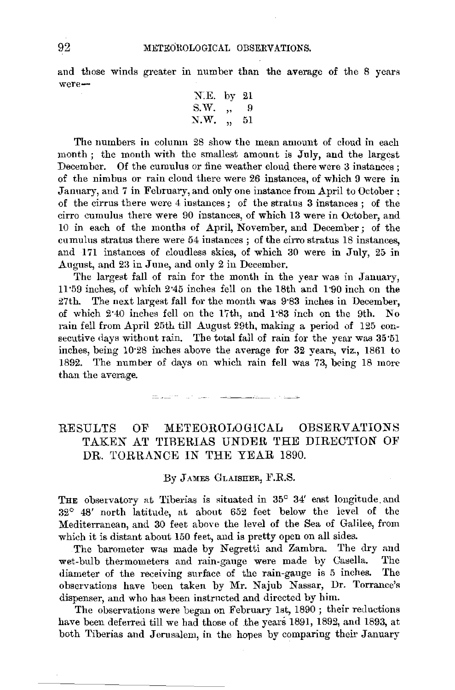and those winds greater in number than the average of the 8 years were-

X.E. by 21 s.w. ,, 9 ~.w. ,, 51

The numbers in column 28 show the mean amount of cloud in each month; the month with the smallest amount is July, and the largest December. Of the cumulus or fine weather cloud there were 3 instances; of the nimbus or rain cloud there were 26 instances, of which 9 were in January, and 7 in Feliruary, and only one instance from April to October: of the cirrus there were 4 instances ; of the stratus 3 instances ; of the cirro cumulus there were 90 instances, of which 13 were in October, and 10 in each of the months of April, November, and December; of the cumulus stratus there were 54 instances ; of the cirro stratus 18 instances, and 171 instances of cloudless skies, of which 30 were in July, 25 in August, and 23 in June, and only 2 in December.

The largest fall of rain for the month in the year was in January, 11•59 inches, of which 2•45 inches fell on the 18th and 1·90 inch on the 27th. The next largest fall for the month was 9°83 inches in December. of which 2·40 inches fell on the 17th, and 1·83 inch on the 9th. No rain fell from April 25t1 till August 29th, making a period of 125 consecutive days without rain. The total fall of rain for the year was 35·51 inches, being 10·28 inches above the average for 32 years, viz., 1861 to 1892. The number of days on which rain fell was 73, being 18 more than the average.

> and the company of the company of the company  $\tau=1.1\pm 1.0$  .

### RESULTS OF METEOROLOGICAL OBSERVATIONS TAKEN AT TIBERIAS UNDER THE DIRECTION OF DR. TORRANCE IN THE YEAR 1890.

By JAMES GLAISHER, F.R.S.

THE observatory at Tiberias is situated in  $35^{\circ}$   $34'$  east longitude and 32° 48' north latitude, at about 652 feet below the level of the Mediterranean, and 30 feet above the level of the Sea of Galilee, from which it is distant about 150 feet, and is pretty open on all sides.

The barometer was made by Negretti and Zambra. The dry and wet-bulb thermometers and rain-gauge were made by Casella. The diameter of the receiving surface of the rain-gauge is 5 inches. The observations have been taken by Mr. Najub Nassar, Dr. Torrance's dispenser, and who has been instrncted and directed by him.

The observations were began on February 1st, 1890 ; their reductions have been deferred till we had those of .the years 1891, 1892, and 1893, at both Tiberias and Jerusalem, in the hopes by comparing their January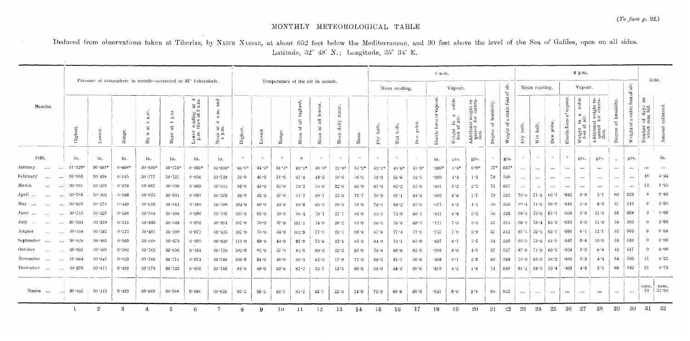# MONTHLY METEOROLOGICAL TABLE

Deduced from observations taken at Tiberias, by NAJUB NASSAR, at about 652 feet below the Mediterranean, and 30 feet above the level of the Sea of Galilee, open on all sides. Latitude, 32° 48' N.; Longitude, 35° 34' E.

|                                  |                            |                  |          |                                                              |                                                                             |                                                                            |                                                                                                |            |            |           |                                  |                                                                     |                                |          |                                  |              |                                             | 8 a.m.                         |                                   |                                                                                      |                              |                                                        |                                    |                   |                                             |                                            | 4 p.m.                                    |                                                                                                                 |                                  |                                                      |                                                                                                             |                      |
|----------------------------------|----------------------------|------------------|----------|--------------------------------------------------------------|-----------------------------------------------------------------------------|----------------------------------------------------------------------------|------------------------------------------------------------------------------------------------|------------|------------|-----------|----------------------------------|---------------------------------------------------------------------|--------------------------------|----------|----------------------------------|--------------|---------------------------------------------|--------------------------------|-----------------------------------|--------------------------------------------------------------------------------------|------------------------------|--------------------------------------------------------|------------------------------------|-------------------|---------------------------------------------|--------------------------------------------|-------------------------------------------|-----------------------------------------------------------------------------------------------------------------|----------------------------------|------------------------------------------------------|-------------------------------------------------------------------------------------------------------------|----------------------|
|                                  |                            |                  |          | Pressure of atmosphere in month-corrected to 32° Fahrenheit. |                                                                             |                                                                            |                                                                                                |            |            |           | Temperature of the air in month. |                                                                     |                                |          | Mean reading.                    |              |                                             | Vapour.                        | $\rm{air}$<br>$\ddot{\circ}$      |                                                                                      |                              | Mean reading.                                          |                                    |                   | Vapour.                                     |                                            |                                           |                                                                                                                 | air.<br>৳                        | Rain.                                                |                                                                                                             |                      |
| Months.                          | Highest                    | owes             | lange.   | a.m<br>$\infty$<br>ă<br>$\mathbf{r}$<br>$\rm\thinspace Mc$   | $\mathbf{p}.\mathbf{m}$<br>$\rightarrow$<br>$\boldsymbol{\ddot{a}}$<br>Mean | at $\frac{4}{3}$<br>$\infty$<br>reading<br>than at s<br>$\frac{1}{2}$ очег | and<br>a.m.<br>$_{\infty}$<br>at<br>$\begin{array}{c} \text{Mean} \\ 4 \text{ p.} \end{array}$ | Highest,   | Lowest     | Range.    | highes.<br>$\Xi$<br>'ত<br>Mean   | lowest.<br>$\overline{\overline{a}}$<br>$\widetilde{\circ}$<br>Mean | ${\rm range}$<br>daily<br>Mean | Mean     | bulb.<br>$\mathbf{p}_\mathrm{I}$ | bith.<br>Wet | point<br>$\tilde{\boldsymbol{\sigma}}$<br>ζ | vapour.<br>force of<br>Elastic | cubic<br>Weight in a foot of air. | sight re-<br>satura-<br>dditional we<br>quired for<br>tion.<br>$\tilde{\phantom{a}}$ | humidity<br>Ğ.<br>٠<br>Degre | foot<br>eubic <sub>1</sub><br>$\approx$<br>Ъ<br>Weight | bulb.<br>$\mathbf{p}_{\mathrm{T}}$ | bulb.<br>Wet      | $\mathop{\mathrm{point}}$<br>$\approx$<br>Å | vapour.<br>Ğ.<br>${\bf force}$<br>Elastic: | ${\rm cubic}$<br>Weight in a frot of air. | $\begin{array}{c} \text{Aditional weight re}\quad \\ \text{quired for status}\quad \\ \text{tion}. \end{array}$ | humidity<br>$\rm ^{6}$<br>Degree | foot<br>eubie:<br>$\overrightarrow{xx}$<br>Weight of | $\overline{\rm s}$<br>$\displaystyle{\frac{\mathrm{days}}{\mathrm{fall}}}$<br>of $d$<br>umber<br>which<br>客 | collected.<br>Amount |
| 1890.                            | in.                        | in.              | in.      | in.                                                          | in.                                                                         | in.                                                                        | in.                                                                                            | $^{\circ}$ | $^{\circ}$ | $\circ$   | $\circ$                          | $\circ$                                                             | $\circ$                        | $\circ$  | $\circ$                          | $\circ$      | -31                                         | in.                            | grs.                              | grs.                                                                                 | $\circ$                      | grs.                                                   |                                    | $\omega$          | $\circ$                                     | $^{\circ}$                                 | grs.                                      | grs.                                                                                                            | $\omega$                         | grs.                                                 |                                                                                                             | in.                  |
| January<br>$\cdots$              | $31 \cdot 129$<br>$\cdots$ | $30 \cdot 461^*$ | $0.668*$ | $30.836$ <sup>t</sup>                                        | 30.775                                                                      | $0.061*$                                                                   | $30.806*$                                                                                      | $66.0*$    | $34.3*$    | $31 - 7*$ | $62.1*$                          | $40.3*$                                                             | $21.8*$                        | $-51.2*$ | $52.1*$                          | $48.6*$      | $45.0*$                                     | $-300*$                        | $3.4*$                            | $0.9*$                                                                               | $77*$                        | 557*                                                   | $\cdots$                           | $\sim$ and $\sim$ | $\cdots$                                    |                                            |                                           |                                                                                                                 | $\cdots$                         | $\cdots$                                             | $\ddotsc$                                                                                                   |                      |
| February<br>$\cdots$             | 30.953<br>أحددا            | $30 - 438$       | 0.515    | 30.777                                                       | $30 - 721$                                                                  | 0.056                                                                      | 30.749                                                                                         | 76.0       | 45.0       | $31 - 0$  | 67.8                             | 49.2                                                                | 18.6                           | 58.5     | 59.3                             | $55.6$       | 52.3                                        | -393                           | 注性                                | 1.2                                                                                  | 78                           | 548                                                    | $\ldots$                           | $\ldots$          |                                             | $\cdots$                                   | $\cdots$                                  | $\sim$ 100 $\pm$                                                                                                | $\ldots$                         | $\cdots$                                             | 18                                                                                                          | 3.34                 |
| March<br>$\cdots$                | 30.831<br>$\cdots$         | 30.455           | 0.376    | 30 667                                                       | $30 - 598$                                                                  | 0.069                                                                      | 30.632                                                                                         | 95.0       | 43.0       | 52.0      | 78.2                             | 55.6                                                                | $22.6\,$                       | $66 - 9$ | $67 - 6$                         | 62.2         | 57.9                                        | $-481$                         | 5.2                               | 2.2                                                                                  | 71                           | 537                                                    | $\cdots$                           | $\ddotsc$         | $\ldots$                                    | $\cdots$                                   | $\cdots$                                  | $\cdots$                                                                                                        | $\cdots$                         |                                                      | 12                                                                                                          | 1.25                 |
| April …<br>$\cdots$              | $30 - 786$<br><b>Add</b>   | $30 - 402$       | 0.384    | 30 625                                                       | 30.534                                                                      | 0.091                                                                      | 30.579                                                                                         | 89.0       | $52\cdot0$ | 37.0      | $81 - 7$                         | $59 - 7$                                                            | 22.0                           | $70 - 7$ | $70 - 9$                         | 67.1         | 64.3                                        | .602                           | 66                                | 1.7                                                                                  | 79                           | 532                                                    | 78.8                               | 71 3              | -66-1                                       | $-642$                                     | $-6-9$                                    | 3.7                                                                                                             | 66                               | 523                                                  | 8                                                                                                           | 2.33                 |
| May<br>$\cdots$<br>$\cdots$      | 30.823<br>$\cdots$         | 30.374           | 0.449    | 30.652                                                       | 30.544                                                                      | 0.108                                                                      | 30.598                                                                                         | 104.0      | $60 - 0$   | 44 0      | 93.6                             | 65.3                                                                | $28 - 3$                       | $79 - 5$ | 78.1                             | $69 - 2$     | 63.0                                        | -577                           | $6-2$                             | $+1$                                                                                 | 59                           | 526                                                    |                                    | $894 + 713$       | 59.9                                        | -516                                       | $-5.4$                                    | 9.0                                                                                                             | 37                               | 513                                                  | Ð                                                                                                           | 0.00                 |
| June<br>$\cdots$                 | 30.713<br>$\cdots$         | 30.329           | 0.384    | 30:584                                                       | $30 - 488$                                                                  | 0.096                                                                      | 30 536                                                                                         | $105 - 0$  | 65.0       | 40.0      | 98.4                             | 70.7                                                                | 27.7                           | 84.6     | $83 - 1$                         | 72.9         | $66^\circ$                                  | -641                           | 6.8                               | $5 - 2$                                                                              | 56                           | 526                                                    |                                    | $94.3 \pm 73.6$   | 611                                         | $-534$                                     | - 5 . 5                                   | $11-3$                                                                                                          | 34                               | 508                                                  | $\Omega$                                                                                                    | 0.00                 |
| July<br>$\sim$<br>$\cdots$       | 30.534<br>$\cdots$         | 30-219           | 0.315    | $30 - 440$                                                   | $30 - 348$                                                                  | 0.092                                                                      | 30.394                                                                                         | 107.0      | $70 - 0$   | 37.0      | $101 \cdot 1$                    | 74.9                                                                | 26.2                           | 88.0     | $86 - 3$                         | 76.0         | 69.3                                        | -717                           | 7.5                               | 5.8                                                                                  | 57                           | 513                                                    | $96 - 1$                           | 75.4              | 63.3                                        | .579                                       | 6.0                                       | 11.9                                                                                                            | -34                              | 503                                                  | 0                                                                                                           | 0.00                 |
| August<br>$\cdots$               | 30.554<br>$\cdots$         | 30.282           | 0.272    | 30.461                                                       | 30.389                                                                      | 0.072                                                                      | 30.425                                                                                         | 107.0      | $73 - 0$   | 34.0      | 102.9                            | 77.8                                                                | $25 - 1$                       | $90 - 4$ | 87.6                             | 77.4         | 71.0                                        | -757                           | 7.9                               | 5.9                                                                                  | 57                           | 512                                                    | 97.3                               | 76.1              | 63.7                                        | $-590$                                     | -6 1                                      | $12 \cdot 1$                                                                                                    | 33                               | 503                                                  | -0                                                                                                          | 0.00                 |
| September<br>$\ldots$            | 30.828<br>$\cdots$         | 30 463           | 0.365    | 30.668                                                       | 30.573                                                                      | 0.095                                                                      | 30.620                                                                                         | $111 - 0$  | 68.0       | 43.0      | 97.0                             | 73.6                                                                | 23.4                           | 85.3     | 84 0                             | $73 - 1$     | 65.9                                        | $-637$                         | $6 - 7$                           | $5 - 7$                                                                              | 54                           | 520                                                    | $93 - 5$                           | 73.6              | -61-5                                       | $-547$                                     | 5.6                                       | 10.8                                                                                                            | -34                              | 510                                                  | $\Omega$                                                                                                    | 0.00                 |
| October<br>$\bullet$ . $\bullet$ | 30.901<br>$\cdots$         | $30 - 509$       | 0.392    | 30.762                                                       | 30.658                                                                      | 0.104                                                                      | 30.710                                                                                         | $102 - 0$  | 65.0       | $37 - 0$  | 92.5                             | $69 - 3$                                                            | $-23 - 2$                      | $80 - 9$ | $78 - 6$                         | 68.8         | 62.0                                        | -558                           | 6.0                               | 4.5                                                                                  | 57                           | 527                                                    | 87.6                               | 71.0              | 60.2                                        | .524                                       | 5.5                                       | 8.4                                                                                                             | $+3$                             | 517                                                  | $\theta$                                                                                                    | 0.00                 |
| November<br>$\ddotsc$            | 31.064<br>$\sim 1000$      | $30 - 541$       | 0.523    | 30.785                                                       | $30 - 711$                                                                  | 0.074                                                                      | 30.748                                                                                         | 100.0      | 54.0       | $-16.0$   | $80 - 2$                         | 62.3                                                                | 17.9                           | 71.3     | $68 - 2$                         | $61 - 7$     | 56.6                                        | .459                           | 5:1                               | 2.5                                                                                  | 66                           | 539                                                    | 75.8                               | 65 S              | 58.2                                        | -486                                       | -5.3                                      | $-4.4$                                                                                                          | 54                               | 530                                                  | 11                                                                                                          | 6.21                 |
| December<br>$\cdots$             | -30-970<br>$\cdots$        | $-30 - 471$      | 0.499    | 30.773<br>$\sim 10^{-1}$                                     | $30 - 723$                                                                  | 0.050                                                                      | 30.748                                                                                         | 81.0       | 49.0       | $32 - 0$  | 67.2                             | 53.7                                                                | 13.5                           | 60.5     | 59.0                             | 54.6         | $50 - 6$                                    | 370                            | 4.2                               | 1.4                                                                                  | 74                           | 549                                                    | $64 - 2$                           | 58.3              | $53 - 4$                                    | .409                                       | 4.5                                       | $2 \cdot 1$                                                                                                     | 68                               | 542                                                  | 21                                                                                                          | 8.75                 |
| Means<br>$\sim 0.04$             | 30.811<br>التند            | $30 - 412$       | 0.129    | 30.669                                                       | 30.588                                                                      | 0.081                                                                      | 30.628                                                                                         | 95.2       | 56.5       | $38 - 7$  | $85 - 2$                         | 62.7                                                                | $-22.5$                        | 74.0     | $72-9$                           | 65 6         | 60.3                                        | $-541$                         | 5.8                               | $3 +$                                                                                | -65                          | 532                                                    |                                    | $\cdots$          | $\sim$ and $\sim$                           |                                            | $\rightarrow$ 1.4 $\,$                    |                                                                                                                 | $\cdots$                         | $\ldots$                                             | sum.<br>70                                                                                                  | sum,<br>22.38        |
|                                  |                            | 2                | 3        | 4                                                            | 长                                                                           | $6\overline{6}$                                                            |                                                                                                | 8          | -9         | 10.       | 11                               | 12.                                                                 | 13                             | 14       | 15                               | 16           | 17                                          | 18                             | 19                                | 20                                                                                   | 21                           | 22                                                     | 23                                 | 24                | 25                                          | 26                                         | 27                                        | 28                                                                                                              | 29                               | 30                                                   | 31                                                                                                          | 32                   |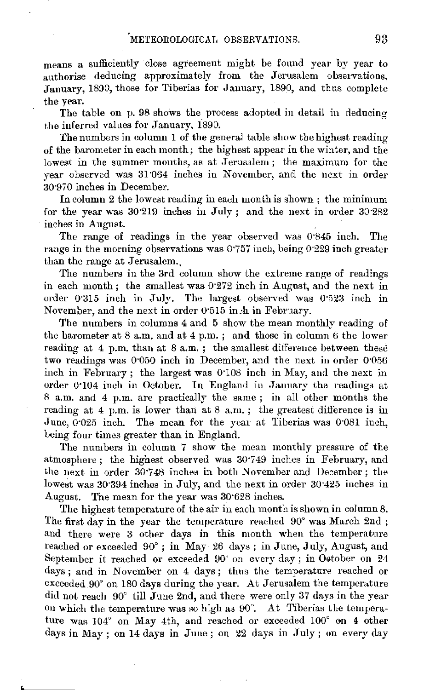means a sufficiently close agreement might be found year by year to authorise deducing approximately from the Jerusalem observations, January, 1890, those for Tiberias for January, 1890, and thus complete the year.

The table on p. 98 shows the process adopted in detail in deducing the inferred values for January, 1890.

The numbers in column 1 of the general table show the highest reading of the barometer in each month; the highest appear in the winter, and the lowest in the summer months, as at Jerusalem ; the maximum for the year observed was 31"064 inches in November, and the next in order 30.970 inches in December.

In column 2 the lowest reading in each month is shown ; the minimum for the year was 30·219 inches in July ; and the next in order 30·282 inches in August.

The range of readings in the year observed was 0·845 inch. The range in the morning observations was 0.757 inch, being 0.229 inch greater than the range at Jerusalem.

The numbers in the 3rd column show the extreme range of readings in each month ; the smallest was 0·272 inch in August, and the next in order 0·315 inch in July. The largest observed was 0·523 inch in November, and the next in order 0·515 in:h in February.

The numbers in columns 4 and 5 show the mean monthly reading of the barometer at  $8$  a.m. and at  $4$  p.m.; and those in column  $6$  the lower reading at 4 p.m. than at 8 a.m.; the smallest difference between these two readings was 0·050 inch in December, and the next in order 0·056 inch in February; the largest was  $0.108$  inch in May, and the next in order 0·104 inch in October. In England in January the readings at 8 a.m. and 4 p.m. are practically the same ; in all other months the reading at 4 p.m. is lower than at 8 a.m.; the greatest difference is in June, 0"025 inch. The mean for the year at Tiberias was 0·081 inch, Leing four times greater than in England.

The numbers in column 7 show the mean monthly pressure of the atmosphere; the highest observed was 30·749 inches in February, and the next in order 30·748 inches in both November and December; the lowest was 30·394 inches in July, and the next in order 30·425 inches in August. The mean for the year was 30·628 inches.

The highest temperature of the air in each month is shown in column 8. The first day in the year the temperature reached 90° was March 2nd ; and there were 3 other days in this month when the temperature reached or exceeded 90°; in May 26 days; in June, July, August, and September it reached or exceeded  $90^{\circ}$  on every day; in October on 24 days ; and in November on 4 days; thus the temperature reached or  $exceeded 90°$  on 180 days during the year. At Jerusalem the temperature did not reach 90" till June 2nd, and there were only 37 days in the year on which the temperature was so high as  $90^\circ$ . At Tiberias the temperature was 104° on May 4th, and reached or exceeded 100° on 4 other days in May; on 14 days in June; on  $22$  days in July; on every day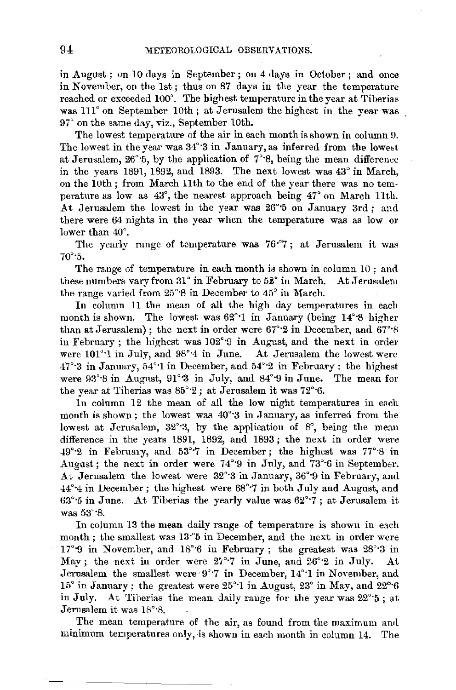in August; on 10 days in September; on 4 days in October; and once in November, on the 1st; thus on 87 days in the year the temperature reached or exceeded 100°. The highest temperature in the year at Tiberias was 111° on September 10th; at Jerusalem the highest in the year was 97° on the same day, viz., September 10th.

The lowest temperature of the air in each month is shown in column 9. The lowest in the year was  $34^{\circ}$ 3 in January, as inferred from the lowest at Jerusalem, 26°·5, by the application of 7°·8, being the mean difference in the years 1891, 1892, and 1893. The next lowest was 43° in March, on the 10th; from March llth to the end of the year there was no temperature as low as  $43^{\circ}$ , the nearest approach being  $47^{\circ}$  on March 11th. At Jerusalem the lowest in the year was 26°5 on January 3rd; and there were 64 nights in the year when the temperature was as low or lower than 40°.

The yearly range of temperature was 76<sup>.</sup>7; at Jerusalem it was 70°·5.

The range of temperature in each month is shown in column 10 ; and these numbers vary from  $31^\circ$  in February to  $52^\circ$  in March. At Jerusalem the range varied from 25°·8 in December to 45° in March.

In column 11 the mean of all the high day temperatures in each month is shown. The lowest was 62°·1 in January (being 14°·8 higher than at Jerusalem); the next in order were  $67°·2$  in December, and  $67°·8$ in February; the highest was  $102^{\circ}$ 9 in August, and the next in order were 101°·1 in July, and 98°·4 in June. At Jerusalem the lowest were 47°·3 in January, 54°·1 in December, and 54°·2 in February; the highest were  $93^{\circ}\cdot 8$  in August,  $91^{\circ}\cdot 3$  in July, and  $84^{\circ}\cdot 9$  in June. The mean for the year at Tiberias was  $85^{\circ}2$ ; at Jerusalem it was 72° $\cdot$ 6.

In column  $12$  the mean of all the low night temperatures in each month is shown; the lowest was 40°·3 in January, as inferred from the lowest at Jerusalem, 32°3, by the application of 8°, being the mean difference in the years 1891, 1892, and 1893 ; the next in order were -19°•2 in February, and 53°·7 in December; the highest was 77°·8 in August; the next in order were 74°·9 in July, and 73°·6 in September. At Jerusalem the lowest were 32°·3 in January, 36°·9 in February, and -14°·4 in December; the highest were 68°·7 in both July and August, and  $63^{\circ}$ :5 in June. At Tiberias the yearly value was  $62^{\circ}$ :7; at Jerusalem it was 53°·8.

In column 13 the mean daily range of temperature is shown in each month; the smallest was 13°5 in December, and the next in order were 17'·9 in November, and 18'•6 in February ; the greatest was 28'·3 in May; the next in order were  $27^{\circ}$ .7 in June, and  $26^{\circ}$  2 in July. At Jerusalem the smallest were 9°7 in December, 14°1 in November, and 15° in January; the greatest were 25'·1 in August, 23° in May, and 22°·6 in July. At Tiberias the mean daily rauge for the year was 22°·5 ; at Jerusalem it was  $18^{\circ}.8$ .

The mean temperature of the air, as found from the maximum and minimum temperatures only, is shown in each month in column 14. The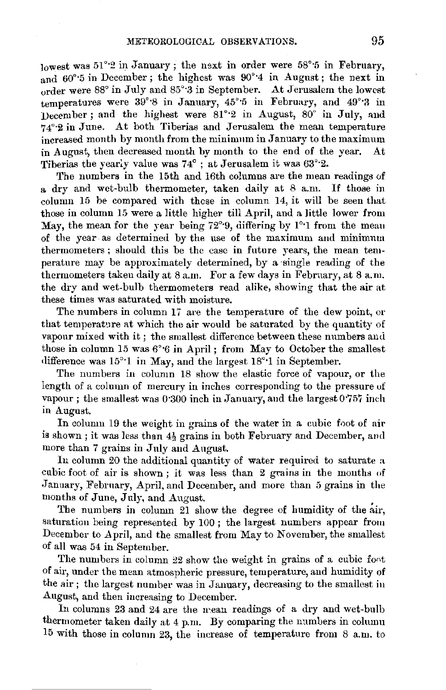lowest was  $51^{\circ}$  in January; the next in order were  $58^{\circ}$  5 in February. and 60°·5 in December; the highest was 90°·4 in August; the next in order were 88° in July and 85° 3 in September. At Jerusalem the lowest temperatures were 39°8 in January, 45°5 in February, and 49°3 in December ; and the highest were 81°2 in August, 80° in July, and 74°·2 in June. At both Tiberias and Jerusalem the mean temperature increased month by month from the minimum in January to the maximum in August, then decreased month by month to the end of the year. At Tiberias the yearly value was 74° ; at Jerusalem it waa 63°·2.

The numbers in the 15th and 16th columns are the mean readings of a dry and wet-bulb thermometer, taken daily at 8 a.m. If those in column 15 be compared with those in column 14, it will be seen that those in column 15 were a little higher till April, and a little lower from May, the mean for the year being 72°<sup>o</sup>9, differing by 1°<sup>o</sup>1 from the mean of the year -as determined by the use of the maximum and minimum thermometers ; should this be the case in future years, the mean temperature may be approximately determined, by a single reading of the thermometers taken daily at 8 a.m. For a few days in February, at 8 a.m. the dry and wet-bulb thermometers read alike, showing that the air at these times was saturated with moisture.

The numbers in column 17 are the temperature of the dew point, or that temperature at which the air would be saturated by the quantity of vapour mixed with it; the smallest difference between these numbers and those in column 15 was  $6^{\circ}6$  in April; from May to October the smallest difference was 15°·1 in May, and the largest 18°·1 in September.

The numbers in column 18 show the elastic force of vapour, or the length of a column of mercury in inches corresponding to the pressure of vapour; the smallest was 0.300 inch in January, and the largest  $0.757$  inch in August.

In column 19 the weight in grains of the water in a cubic foot of air is shown; it was less than  $4\frac{1}{2}$  grains in both February and December, and more than 7 grains in July and August.

In column 20 the additional quantity of water required to saturate a cubic foot of air is shown; it was less than  $2$  grains in the months of January, February, April, and December, and more than 5 grains in the months of June, July, and August.

The numbers in column 21 show the degree of humidity of the air, saturation being represented by 100; the largest numbers appear from December to April, and the smallest from May to November, the smallest of all was 54 in September.

The numbers in column  $22$  show the weight in grains of a cubic foot of air, under the mean atmospheric pressure, temperature, and humidity of the air; the largest number was in January, decreasing to the smallest in August, and then increasing to December.

In columns 23 and 24 are the mean readings of a dry and wet-bulb thermometer taken daily at 4 p.m. By comparing the numbers in column 15 with those in column 23, the increase of temperature from 8 a.m. to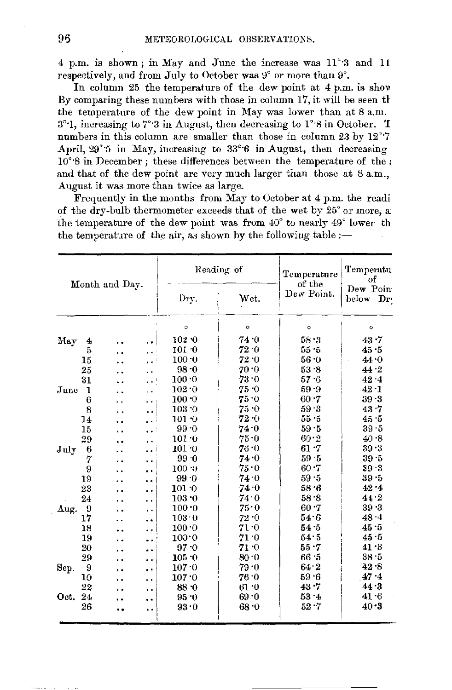4 p.m. is shown; in May and June the increase was 11°3 and 11 respectively, and from July to October was 9° or more than 9°.

In column 25 the temperature of the dew point at 4 p.m. is show By comparing these numbers with those in column 17, it will be seen the the temperature of the dew point in May was lower than at 8 a.m. 3°-1, increasing to 7°-3 in August, then decreasing to 1°-8 in October. T numbers in this column are smaller than those in column 23 by 12°7 April, 29° 5 in May, increasing to 33° 6 in August, then decreasing  $10^{\circ}$ 8 in December; these differences between the temperature of the: and that of the dew point are very much larger than those at 8 a.m., August it was more than twice as large.

Frequently in the months from May to October at 4 p.m. the readi of the dry-bulb thermometer exceeds that of the wet by 25° or more, at the temperature of the dew point was from 40° to nearly 49° lower th the temperature of the air, as shown by the following table  $:$  –

| Month and Day. |    |     |                      |                 | Reading of | Temperature          | Temperatu<br>оf       |
|----------------|----|-----|----------------------|-----------------|------------|----------------------|-----------------------|
|                |    |     |                      | Dry.            | Wet.       | of the<br>Dew Point. | Dew Poin<br>below Dry |
|                |    |     |                      | $\circ$         | $\circ$    | ō                    | o                     |
| May            | 4  |     |                      | 102.0           | 74.0       | 58.3                 | 43.7                  |
|                | 5  | . . | Ω.                   | $101 - 0$       | 72 0       | 55 5                 | 45.5                  |
|                | 15 |     | $\ddot{\phantom{a}}$ | 100.0           | 72.0       | 56.0                 | 44.0                  |
|                | 25 |     | . .                  | $98-0$          | 70.0       | 53.8                 | 44.2                  |
|                | 31 | . . | ا د د                | 100.0           | $73 - 0$   | 57 6                 | $42 - 4$              |
| June           | 1  | ٠.  | . .                  | 102.0           | 75.0       | 59.9                 | 42.1                  |
|                | 6  | ٠.  | $\ddot{\phantom{1}}$ | 100.0           | 75.0       | 60.7                 | $39 - 3$              |
|                | 8  |     | . .                  | 103.0           | 75 O       | 59.3                 | 43.7                  |
|                | 14 |     | . .                  | $101 - 0$       | 72.0       | 55.5                 | 45.5                  |
|                | 15 | . . |                      | 99.0            | 74.0       | 59.5                 | 39.5                  |
|                | 29 | . . | . .                  | 101.0           | $75 - 0$   | 60.2                 | 40.8                  |
| July           | 6  | . . | $\ddot{\phantom{0}}$ | 101.0           | $76 - 0$   | $61 - 7$             | 39.3                  |
|                | 7  | . . | $\cdot$ $\cdot$      | 99.0            | 74 0       | 59.5                 | $39 - 5$              |
|                | 9  |     | . .                  | $100 - 0$       | 75.0       | $60 - 7$             | 39.3                  |
|                | 19 |     | $\ddot{\phantom{0}}$ | 99.0            | 74.0       | 59.5                 | $39 - 5$              |
|                | 23 | ٠.  | $\ddot{\phantom{0}}$ | $101\!\cdot\!0$ | 74.0       | 58.6                 | 42.4                  |
|                | 24 |     | . .                  | 103.0           | 74.0       | 58.8                 | 44.2                  |
| Aug.           | 9  | . . | ρ.                   | 100.0           | 75.0       | 60.7                 | 39.3                  |
|                | 17 |     |                      | 103.0           | $72-0$     | 54 6                 | 48.4                  |
|                | 18 |     |                      | 100.0           | 71.0       | 54.5                 | 45.5                  |
|                | 19 |     | . .                  | 100.0           | 71 0       | 54.5                 | 45.5                  |
|                | 20 |     | $\ddot{\phantom{1}}$ | $97 - 0$        | 71 O       | $55 - 7$             | 41.3                  |
|                | 29 |     |                      | 105.0           | $80 - 0$   | 66 5                 | $38 - 5$              |
| Sep.           | 9  |     | $\ddot{\phantom{a}}$ | 107.0           | 79.0       | 64.2                 | 42.8                  |
|                | 10 |     | $\ddot{\phantom{0}}$ | 107.0           | 76 0       | 59.6                 | 47.4                  |
|                | 22 |     |                      | 88.0            | 61.0       | 43.7                 | 44.3                  |
| Oct. 24        |    |     |                      | 95.0            | 69.0       | 53.4                 | 41.6                  |
|                | 26 | . . | . .                  | 93.0            | 68 0       | $52 - 7$             | 40.3                  |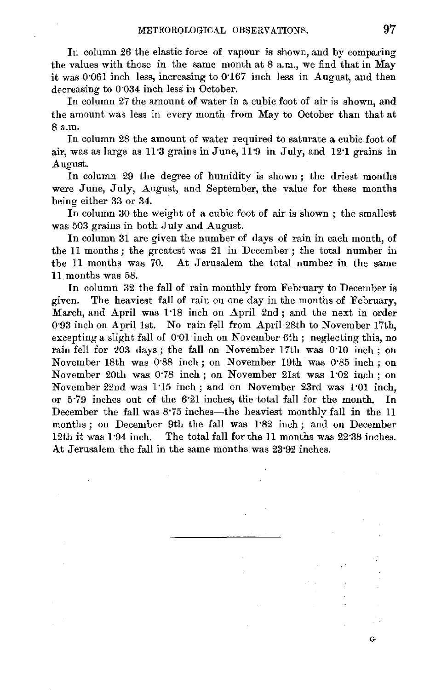In column 26 the elastic force of vapour is shown, and by comparing the values with those in the same month at 8 a.m., we find that in May it was 0·061 inch less, increasing to 0·167 inch less in August, and then decreasing to 0·034 inch less in October.

In column *27* the amount of water in a cubic foot of air is shown, and the amount was less in every month from May to October than that at 8 a.m.

In column 28 the amount of water required to saturate a cubic foot of air, was as large as  $11.3$  grains in June,  $11.9$  in July, and  $12.1$  grains in August.

In column 29 the degree of humidity is shown ; the driest months were June, July, August, and September, the value for these months being either 33 or 34.

In column 30 the weight of a cubic foot of air is shown ; the smallest was 503 grains in both July and August.

In column 31 are given the number of days of rain in each month, of the 11 months ; the greatest was 21 in December ; the total number in the 11 months was 70. At Jerusalem the total number in the same 11 months was 58.

In column 32 the fall of rain monthly from February to December is given. The heaviest fall of rain on one day in the months of February, March, and April was 1·18 inch on April 2nd; and the next in order 0·93 incli on April 1st. No rain fell from April 28th to November 17th, excepting a slight fall of 0.01 inch on November 6th; neglecting this, no rain fell for 203 days; the fall on November 17th was 0.10 inch; on November- 18th was 0·88 inch; on November 19th was 0·85 inch; on November 20th was 0·78 inch; on November 21st was 1·02 inch; on November 22nd was 1·15 inch; and on November 23rd was l·0l inch, or 5·79 inches out of the 6·21 inches, tlie total fall for the month. In December the fall was 8.75 inches—the heaviest monthly fall in the 11 months; on December 9th the fall was 1.82 inch; and on December 12th it was l ·94 inch. The total fall for the 11 months was 22·38 inches. At Jerusalem the fall in the same months was 23·92 inches.

 $\mathbf{G}$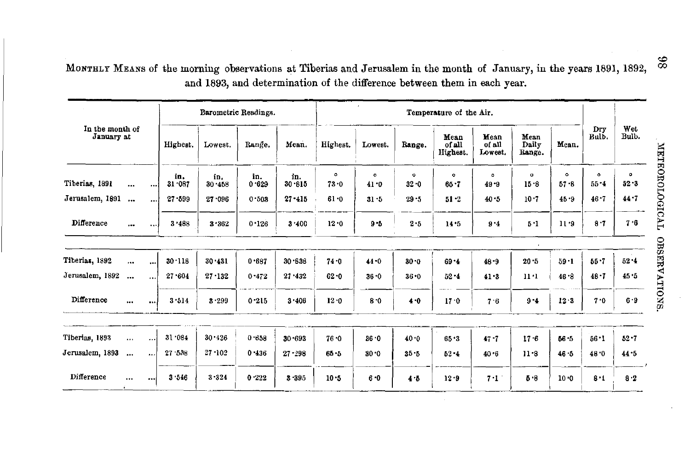MONTHLY MEANS of the morning observations at Tiberias and Jerusalem in the month of January, in the years 1891, 1892, and 1893, and determination of the difference between them in each year.

|                               |              |                      |               |               | Barometric Readings. |               |                       |                 |                     |                            |                           |                         |                       |                       |                     |
|-------------------------------|--------------|----------------------|---------------|---------------|----------------------|---------------|-----------------------|-----------------|---------------------|----------------------------|---------------------------|-------------------------|-----------------------|-----------------------|---------------------|
| In the month of<br>January at |              |                      | Highest.      | Lowest.       | Range.               | Mean.         | Highest.              | Lowest.         | Range.              | Mean<br>of all<br>Highest. | Mean<br>of all<br>Lowest, | Mean<br>Daily<br>Range. | Mean.                 | Dry<br>Bulb.          | Wet<br>Bulb.        |
| Tiberias, 1891                | $\ddotsc$    | $\cdots$             | in.<br>31.087 | in.<br>30.458 | in.<br>0.629         | in.<br>30.815 | $\bullet$<br>$73 - 0$ | $\circ$<br>41.0 | $\circ$<br>$32 - 0$ | $\bullet$<br>$65 - 7$      | $\alpha$<br>49.9          | $\alpha$<br>15.8        | $\bullet$<br>$57 - 8$ | $\bullet$<br>$55 - 4$ | $\circ$<br>$52 - 3$ |
| Jerusalem, 1891               | $\cdots$     | $\ddotsc$            | $27 - 599$    | 27.096        | 0.503                | $27 - 415$    | 61.0                  | 31.5            | 29.5                | $51 - 2$                   | 40.5                      | 10.7                    | 45.9                  | $46 - 7$              | 44.7                |
| Difference                    | $\mathbf{r}$ |                      | 3.488         | 3.362         | 0.126                | 3.400         | 12.0                  | $9 - 5$         | 2.5                 | 14.5                       | 9.4                       | $5 - 1$                 | 11.9                  | 8.7                   | 7.6                 |
| Tiberias, 1892                | $\ddotsc$    | $\cdots$             | 30.118        | 30.431        | 0.687                | 30.638        | $74 - 0$              | $44 - 0$        | $30 - 0$            | $69 - 4$                   | 48.9                      | 20.5                    | $59 - 1$              | $55 - 7$              | 52.4                |
| Jerusalem, 1892               | $\ddotsc$    | $\ddot{\phantom{a}}$ | 27.604        | $27 - 132$    | 0.472                | 27.432        | $62 - 0$              | $36 - 0$        | $36 - 0$            | $52 - 4$                   | 41.3                      | $11 - 1$                | 46.8                  | $48 - 7$              | 45.5                |
| Difference                    | $\cdots$     |                      | 3.514         | 3.299         | 0.215                | 3.406         | 12.0                  | $8 - 0$         | 4.0                 | 17.0                       | 7.6                       | $9 - 4$                 | 12.3                  | 7.0                   | 6.9                 |
| Tiberias, 1893                | $\cdots$     | $\cdots$             | 31.084        | 30.426        | 0.658                | $30 - 693$    | $76 - 0$              | 36.0            | 40.0                | 65.3                       | $47 - 7$                  | 17.6                    | 56 5                  | $56 - 1$              | $52 - 7$            |
| Jerusalem, 1893               | $\ddotsc$    | $\ddotsc$            | 27.536        | $27 - 102$    | 0.436                | $27 - 298$    | $65 - 5$              | $30 - 0$        | $35 - 5$            | $52 - 4$                   | $40 - 6$                  | $11 - 8$                | 46.5                  | 48.0                  | 44.5                |
| Difference                    | $\cdots$     |                      | 3.546         | $3 - 324$     | 0.222                | 3.395         | 10.5                  | $6 - 0$         | 4.5                 | 12.9                       | 7.1                       | $5 - 8$                 | 10.0                  | $8 - 1$               | 8.2                 |

METEOROLOGICAL OBSERVATIONS.

 $86$